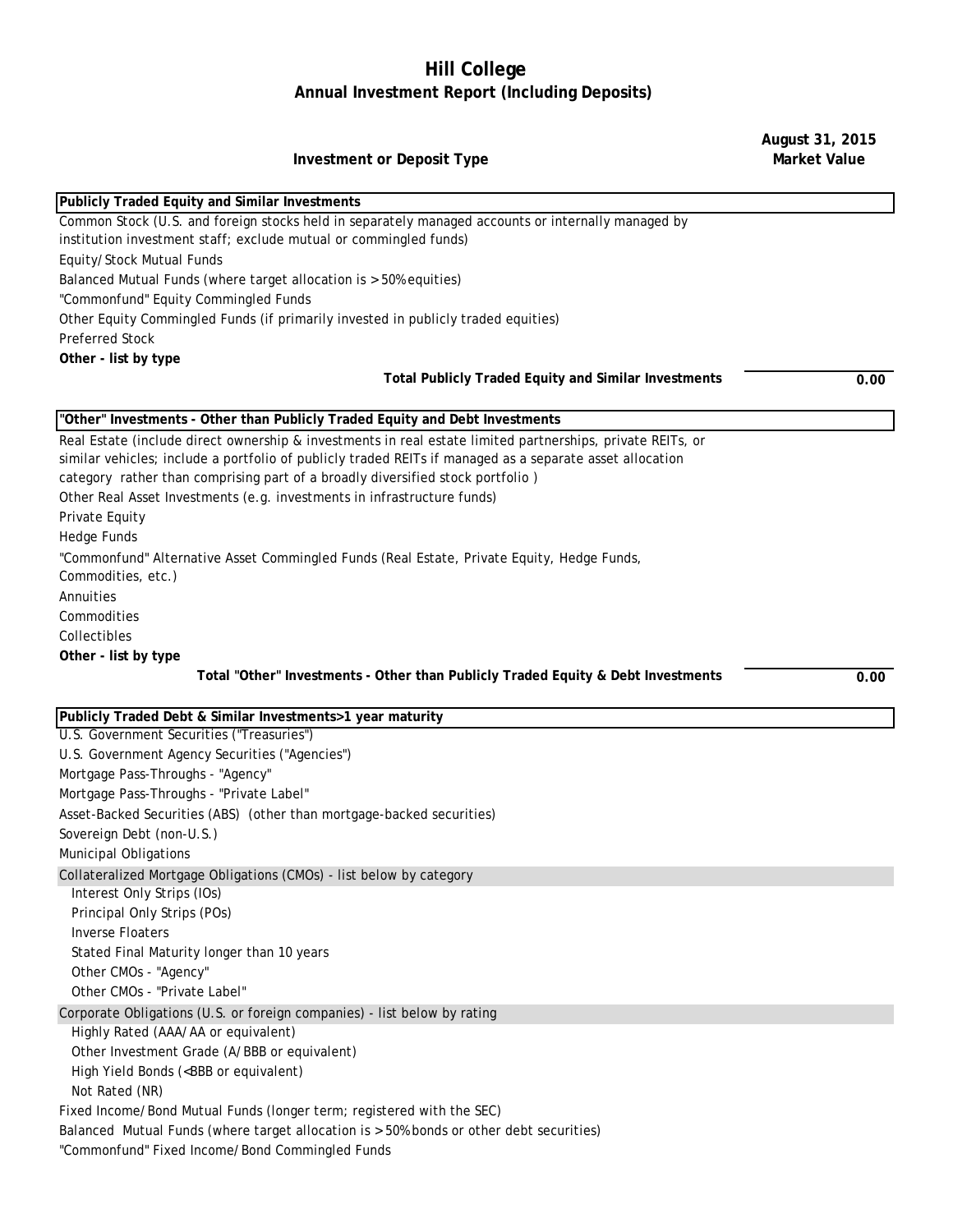## **Hill College Annual Investment Report (Including Deposits)**

**August 31, 2015** 

| <b>Investment or Deposit Type</b>                                                                                                                                       | <b>Market Value</b> |
|-------------------------------------------------------------------------------------------------------------------------------------------------------------------------|---------------------|
|                                                                                                                                                                         |                     |
| Publicly Traded Equity and Similar Investments                                                                                                                          |                     |
| Common Stock (U.S. and foreign stocks held in separately managed accounts or internally managed by<br>institution investment staff; exclude mutual or commingled funds) |                     |
| Equity/Stock Mutual Funds                                                                                                                                               |                     |
| Balanced Mutual Funds (where target allocation is > 50% equities)                                                                                                       |                     |
| "Commonfund" Equity Commingled Funds                                                                                                                                    |                     |
| Other Equity Commingled Funds (if primarily invested in publicly traded equities)                                                                                       |                     |
| <b>Preferred Stock</b>                                                                                                                                                  |                     |
| Other - list by type                                                                                                                                                    |                     |
| <b>Total Publicly Traded Equity and Similar Investments</b>                                                                                                             | 0.00                |
| "Other" Investments - Other than Publicly Traded Equity and Debt Investments                                                                                            |                     |
| Real Estate (include direct ownership & investments in real estate limited partnerships, private REITs, or                                                              |                     |
| similar vehicles; include a portfolio of publicly traded REITs if managed as a separate asset allocation                                                                |                     |
| category rather than comprising part of a broadly diversified stock portfolio)                                                                                          |                     |
| Other Real Asset Investments (e.g. investments in infrastructure funds)                                                                                                 |                     |
| Private Equity                                                                                                                                                          |                     |
| <b>Hedge Funds</b>                                                                                                                                                      |                     |
| "Commonfund" Alternative Asset Commingled Funds (Real Estate, Private Equity, Hedge Funds,                                                                              |                     |
| Commodities, etc.)                                                                                                                                                      |                     |
| Annuities                                                                                                                                                               |                     |
| Commodities                                                                                                                                                             |                     |
| Collectibles                                                                                                                                                            |                     |
| Other - list by type                                                                                                                                                    |                     |
| Total "Other" Investments - Other than Publicly Traded Equity & Debt Investments                                                                                        | 0.00                |
| Publicly Traded Debt & Similar Investments>1 year maturity                                                                                                              |                     |
| U.S. Government Securities ("Treasuries")                                                                                                                               |                     |
| U.S. Government Agency Securities ("Agencies")                                                                                                                          |                     |
| Mortgage Pass-Throughs - "Agency"                                                                                                                                       |                     |
| Mortgage Pass-Throughs - "Private Label"                                                                                                                                |                     |
| Asset-Backed Securities (ABS) (other than mortgage-backed securities)                                                                                                   |                     |
| Sovereign Debt (non-U.S.)                                                                                                                                               |                     |
| <b>Municipal Obligations</b>                                                                                                                                            |                     |
| Collateralized Mortgage Obligations (CMOs) - list below by category                                                                                                     |                     |
| Interest Only Strips (IOs)                                                                                                                                              |                     |
| Principal Only Strips (POs)                                                                                                                                             |                     |
| <b>Inverse Floaters</b>                                                                                                                                                 |                     |
| Stated Final Maturity longer than 10 years                                                                                                                              |                     |
| Other CMOs - "Agency"                                                                                                                                                   |                     |
| Other CMOs - "Private Label"                                                                                                                                            |                     |
| Corporate Obligations (U.S. or foreign companies) - list below by rating                                                                                                |                     |
| Highly Rated (AAA/AA or equivalent)                                                                                                                                     |                     |
| Other Investment Grade (A/BBB or equivalent)                                                                                                                            |                     |
| High Yield Bonds ( <bbb equivalent)<="" or="" td=""><td></td></bbb>                                                                                                     |                     |
| Not Rated (NR)                                                                                                                                                          |                     |
| Fixed Income/Bond Mutual Funds (longer term; registered with the SEC)                                                                                                   |                     |
| Balanced Mutual Funds (where target allocation is > 50% bonds or other debt securities)                                                                                 |                     |
| "Commonfund" Fixed Income/Bond Commingled Funds                                                                                                                         |                     |